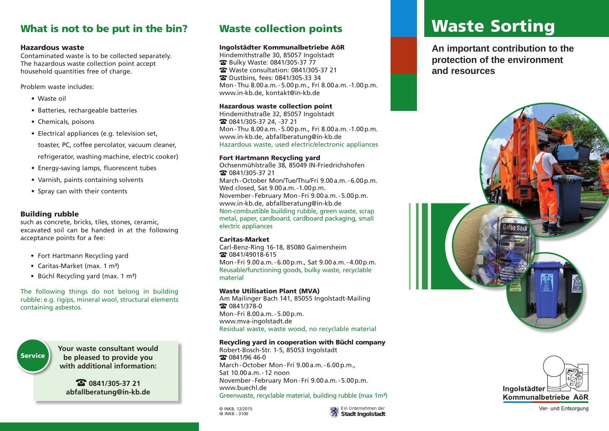## What is not to be put in the bin?

## Hazardous waste

Contaminated waste is to be collected separately. The hazardous waste collection point accept household quantities free of charge.

Problem waste includes:

- • Waste oil
- Batteries, rechargeable batteries
- Chemicals, poisons
- Electrical appliances (e.g. television set,

 toaster, PC, coffee percolator, vacuum cleaner,

- refrigerator, washing machine, electric cooker)
- Energy-saving lamps, fluorescent tubes
- Varnish, paints containing solvents • Spray can with their contents

## Building rubble

such as concrete, bricks, tiles, stones, ceramic, excavated soil can be handed in at the following acceptance points for a fee:

- Fort Hartmann Recycling yard
- Caritas-Market (max. 1 m<sup>3</sup>)
- Büchl Recycling yard (max. 1 m<sup>3</sup>)

The following things do not belong in building rubble: e.g. rigips, mineral wool, structural elements containing asbestos.



**Your waste consultant would be pleased to provide you with additional information:**

 $\Omega$  0841/305-37 21 **abfallberatung@in-kb.de**

## Waste collection points

## Ingolstädter Kommunalbetriebe AöR

Hindemithstraße 30, 85057 Ingolstadt Bulky Waste: 0841/305-37 77 Waste consultation: 0841/305-37 21 Dustbins, fees: 0841/305-33 34 Mon-Thu 8.00a.m.-5.00p.m., Fri 8.00a.m.-1.00p.m. www.in-kb.de, kontakt@in-kb.de

## Hazardous waste collection point

Hindemithstraße 32, 85057 Ingolstadt 0841/305-37 24, -37 21 Mon-Thu 8.00a.m.-5.00p.m., Fri 8.00a.m.-1.00p.m. www.in-kb.de, abfallberatung@in-kb.de Hazardous waste, used electric/electronic appliances

## Fort Hartmann Recycling yard

Ochsenmühlstraße 38, 85049 IN-Friedrichshofen 0841/305-37 21 March-October Mon/Tue/Thu/Fri 9.00a.m.-6.00p.m. Wed closed, Sat 9.00a.m.-1.00p.m. November- February Mon - Fri 9.00a.m.-5.00p.m. www.in-kb.de, abfallberatung@in-kb.de Non-combustible building rubble, green waste, scrap metal, paper, cardboard, cardboard packaging, small electric appliances

### Caritas-Market

Carl-Benz-Ring 16-18, 85080 Gaimersheim 2 0841/49018-615 Mon- Fri 9.00a.m.-6.00p.m., Sat 9.00a.m.-4.00p.m. Reusable/functioning goods, bulky waste, recyclable material

### Waste Utilisation Plant (MVA)

Am Mailinger Bach 141, 85055 Ingolstadt-Mailing 2 0841/378-0 Mon- Fri 8.00a.m.-5.00p.m. www.mva-ingolstadt.de Residual waste, waste wood, no recyclable material

### Recycling yard in cooperation with Büchl company

Robert-Bosch-Str. 1-5, 85053 Ingolstadt **3** 0841/96 46-0 March-October Mon- Fri 9.00a.m.-6.00p.m., Sat 10.00a.m.-12 noon November- February Mon- Fri 9.00a.m.-5.00p.m. www.buechl.de Greenwaste, recyclable material, building rubble (max 1m<sup>3</sup>)

© INKB, 12/2015<br>IB INKB - 3100



# Waste Sorting

**An important contribution to the protection of the environment and resources**





Ver- und Entsorgung